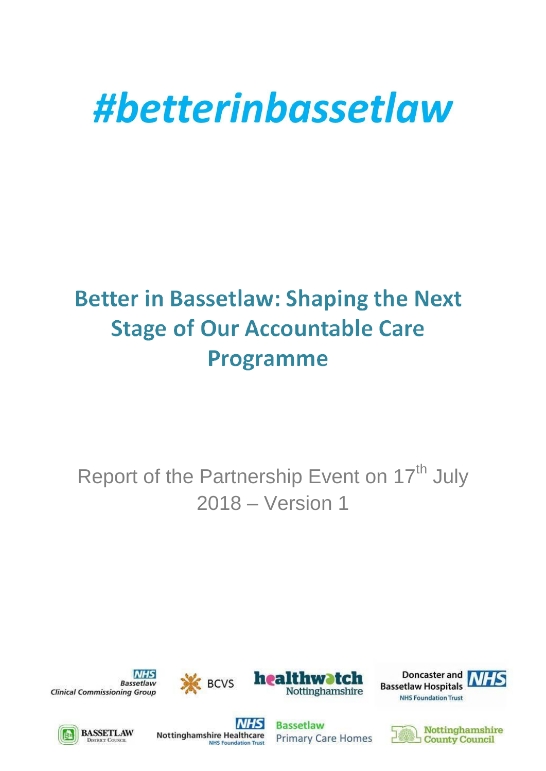# #betterinbassetlaw

# **Better in Bassetlaw: Shaping the Next Stage of Our Accountable Care Programme**

Report of the Partnership Event on 17<sup>th</sup> July 2018 – Version 1



**INHS Bassetlaw Clinical Commissioning Group** 









**NHS Nottinghamshire Healthcare NHS Foundation Trus** 

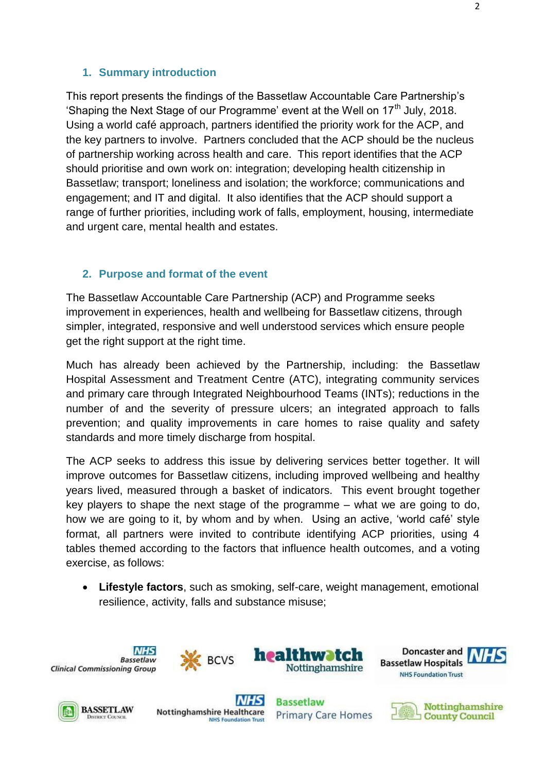#### **1. Summary introduction**

This report presents the findings of the Bassetlaw Accountable Care Partnership's 'Shaping the Next Stage of our Programme' event at the Well on  $17<sup>th</sup>$  July, 2018. Using a world café approach, partners identified the priority work for the ACP, and the key partners to involve. Partners concluded that the ACP should be the nucleus of partnership working across health and care. This report identifies that the ACP should prioritise and own work on: integration; developing health citizenship in Bassetlaw; transport; loneliness and isolation; the workforce; communications and engagement; and IT and digital. It also identifies that the ACP should support a range of further priorities, including work of falls, employment, housing, intermediate and urgent care, mental health and estates.

#### **2. Purpose and format of the event**

The Bassetlaw Accountable Care Partnership (ACP) and Programme seeks improvement in experiences, health and wellbeing for Bassetlaw citizens, through simpler, integrated, responsive and well understood services which ensure people get the right support at the right time.

Much has already been achieved by the Partnership, including: the Bassetlaw Hospital Assessment and Treatment Centre (ATC), integrating community services and primary care through Integrated Neighbourhood Teams (INTs); reductions in the number of and the severity of pressure ulcers; an integrated approach to falls prevention; and quality improvements in care homes to raise quality and safety standards and more timely discharge from hospital.

The ACP seeks to address this issue by delivering services better together. It will improve outcomes for Bassetlaw citizens, including improved wellbeing and healthy years lived, measured through a basket of indicators. This event brought together key players to shape the next stage of the programme – what we are going to do, how we are going to it, by whom and by when. Using an active, 'world café' style format, all partners were invited to contribute identifying ACP priorities, using 4 tables themed according to the factors that influence health outcomes, and a voting exercise, as follows:

 **Lifestyle factors**, such as smoking, self-care, weight management, emotional resilience, activity, falls and substance misuse;















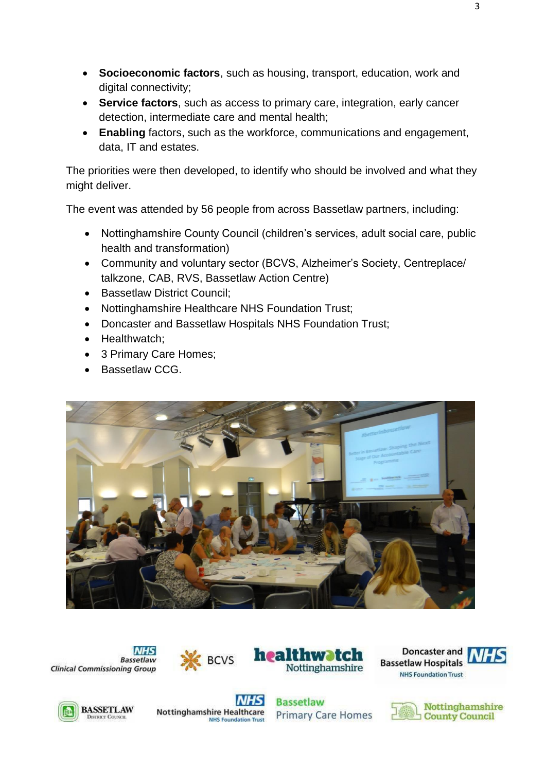- **Socioeconomic factors**, such as housing, transport, education, work and digital connectivity;
- **Service factors**, such as access to primary care, integration, early cancer detection, intermediate care and mental health;
- **Enabling** factors, such as the workforce, communications and engagement, data, IT and estates.

The priorities were then developed, to identify who should be involved and what they might deliver.

The event was attended by 56 people from across Bassetlaw partners, including:

- Nottinghamshire County Council (children's services, adult social care, public health and transformation)
- Community and voluntary sector (BCVS, Alzheimer's Society, Centreplace/ talkzone, CAB, RVS, Bassetlaw Action Centre)
- Bassetlaw District Council;
- Nottinghamshire Healthcare NHS Foundation Trust;
- Doncaster and Bassetlaw Hospitals NHS Foundation Trust;
- Healthwatch;
- 3 Primary Care Homes;
- Bassetlaw CCG.















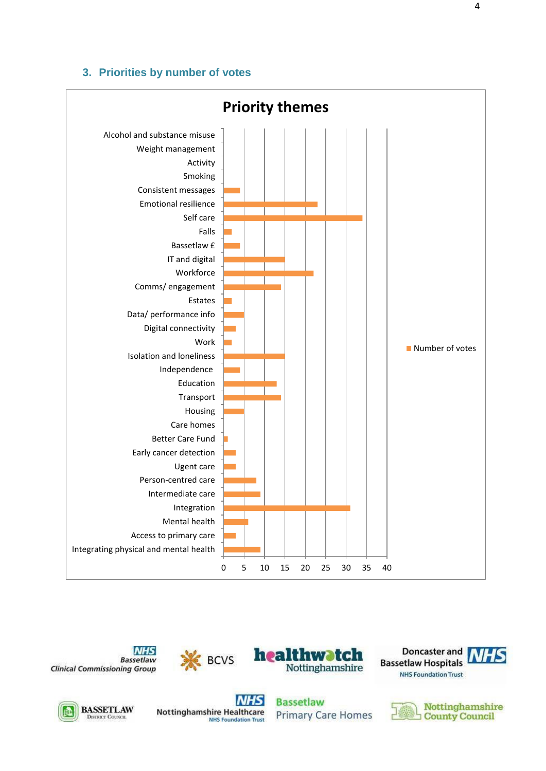#### **3. Priorities by number of votes**















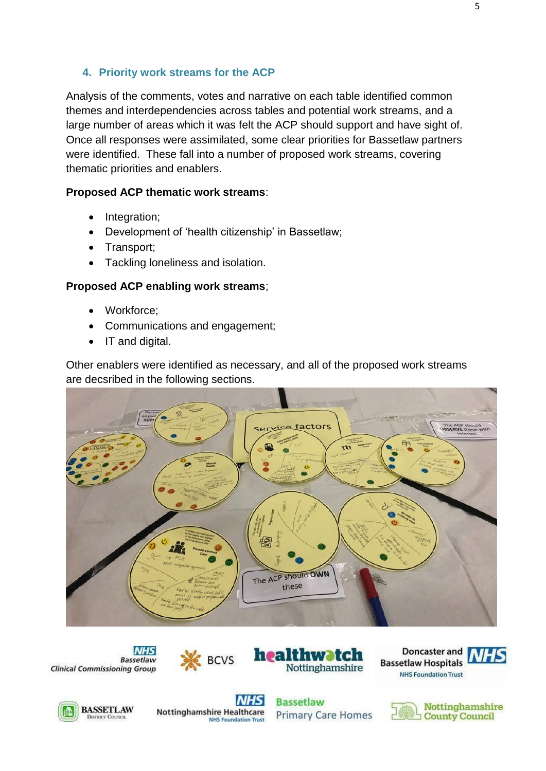## **4. Priority work streams for the ACP**

Analysis of the comments, votes and narrative on each table identified common themes and interdependencies across tables and potential work streams, and a large number of areas which it was felt the ACP should support and have sight of. Once all responses were assimilated, some clear priorities for Bassetlaw partners were identified. These fall into a number of proposed work streams, covering thematic priorities and enablers.

#### **Proposed ACP thematic work streams**:

- Integration:
- Development of 'health citizenship' in Bassetlaw;
- Transport;
- Tackling loneliness and isolation.

## **Proposed ACP enabling work streams**;

- Workforce;
- Communications and engagement;
- IT and digital.

Other enablers were identified as necessary, and all of the proposed work streams are decsribed in the following sections.

















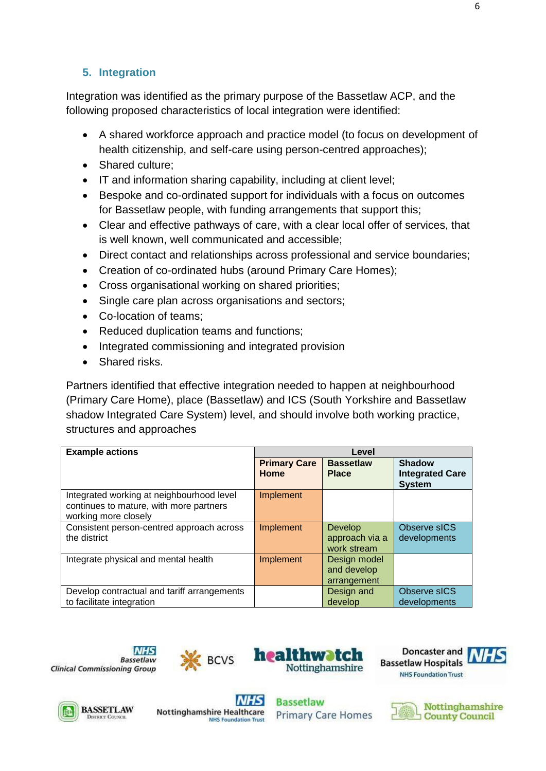# **5. Integration**

Integration was identified as the primary purpose of the Bassetlaw ACP, and the following proposed characteristics of local integration were identified:

- A shared workforce approach and practice model (to focus on development of health citizenship, and self-care using person-centred approaches);
- Shared culture;
- IT and information sharing capability, including at client level;
- Bespoke and co-ordinated support for individuals with a focus on outcomes for Bassetlaw people, with funding arrangements that support this;
- Clear and effective pathways of care, with a clear local offer of services, that is well known, well communicated and accessible;
- Direct contact and relationships across professional and service boundaries;
- Creation of co-ordinated hubs (around Primary Care Homes);
- Cross organisational working on shared priorities;
- Single care plan across organisations and sectors;
- Co-location of teams:
- Reduced duplication teams and functions;
- Integrated commissioning and integrated provision
- Shared risks.

Partners identified that effective integration needed to happen at neighbourhood (Primary Care Home), place (Bassetlaw) and ICS (South Yorkshire and Bassetlaw shadow Integrated Care System) level, and should involve both working practice, structures and approaches

| <b>Example actions</b>                                                                                       | Level                       |                                            |                                                          |
|--------------------------------------------------------------------------------------------------------------|-----------------------------|--------------------------------------------|----------------------------------------------------------|
|                                                                                                              | <b>Primary Care</b><br>Home | <b>Bassetlaw</b><br><b>Place</b>           | <b>Shadow</b><br><b>Integrated Care</b><br><b>System</b> |
| Integrated working at neighbourhood level<br>continues to mature, with more partners<br>working more closely | Implement                   |                                            |                                                          |
| Consistent person-centred approach across<br>the district                                                    | <b>Implement</b>            | Develop<br>approach via a<br>work stream   | Observe sICS<br>developments                             |
| Integrate physical and mental health                                                                         | Implement                   | Design model<br>and develop<br>arrangement |                                                          |
| Develop contractual and tariff arrangements<br>to facilitate integration                                     |                             | Design and<br>develop                      | Observe sICS<br>developments                             |











**Nottinghamshire Healthcare NHS Foundation Trust** 

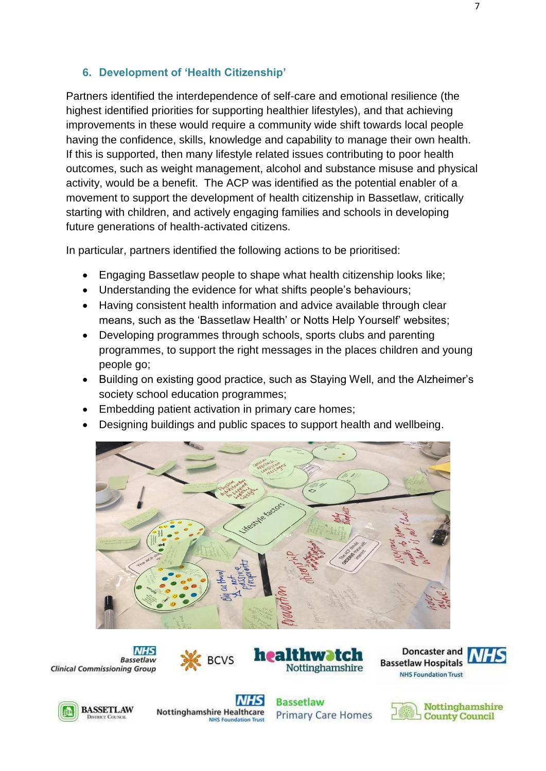#### **6. Development of 'Health Citizenship'**

Partners identified the interdependence of self-care and emotional resilience (the highest identified priorities for supporting healthier lifestyles), and that achieving improvements in these would require a community wide shift towards local people having the confidence, skills, knowledge and capability to manage their own health. If this is supported, then many lifestyle related issues contributing to poor health outcomes, such as weight management, alcohol and substance misuse and physical activity, would be a benefit. The ACP was identified as the potential enabler of a movement to support the development of health citizenship in Bassetlaw, critically starting with children, and actively engaging families and schools in developing future generations of health-activated citizens.

In particular, partners identified the following actions to be prioritised:

- Engaging Bassetlaw people to shape what health citizenship looks like;
- Understanding the evidence for what shifts people's behaviours;
- Having consistent health information and advice available through clear means, such as the 'Bassetlaw Health' or Notts Help Yourself' websites;
- Developing programmes through schools, sports clubs and parenting programmes, to support the right messages in the places children and young people go;
- Building on existing good practice, such as Staying Well, and the Alzheimer's society school education programmes;
- Embedding patient activation in primary care homes;
- Designing buildings and public spaces to support health and wellbeing.



**INHS Bassetlaw Clinical Commissioning Group** 













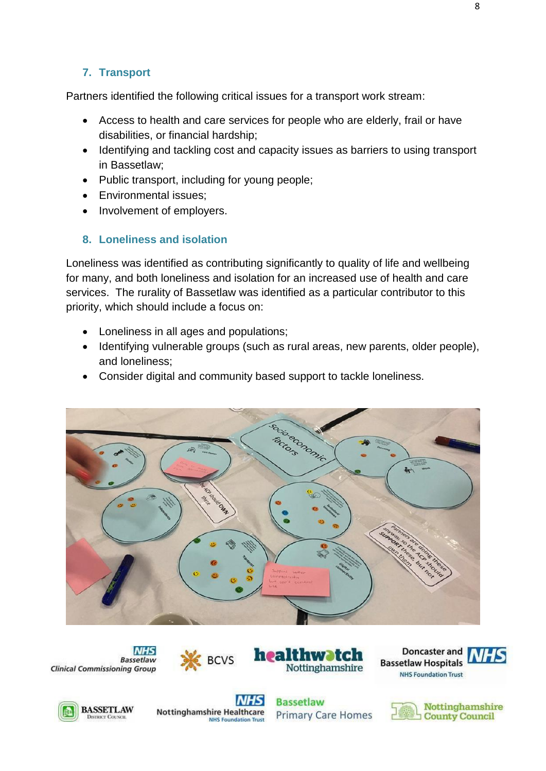# **7. Transport**

Partners identified the following critical issues for a transport work stream:

- Access to health and care services for people who are elderly, frail or have disabilities, or financial hardship;
- Identifying and tackling cost and capacity issues as barriers to using transport in Bassetlaw;
- Public transport, including for young people;
- Environmental issues;
- Involvement of employers.

# **8. Loneliness and isolation**

Loneliness was identified as contributing significantly to quality of life and wellbeing for many, and both loneliness and isolation for an increased use of health and care services. The rurality of Bassetlaw was identified as a particular contributor to this priority, which should include a focus on:

- Loneliness in all ages and populations;
- Identifying vulnerable groups (such as rural areas, new parents, older people), and loneliness;
- Consider digital and community based support to tackle loneliness.

















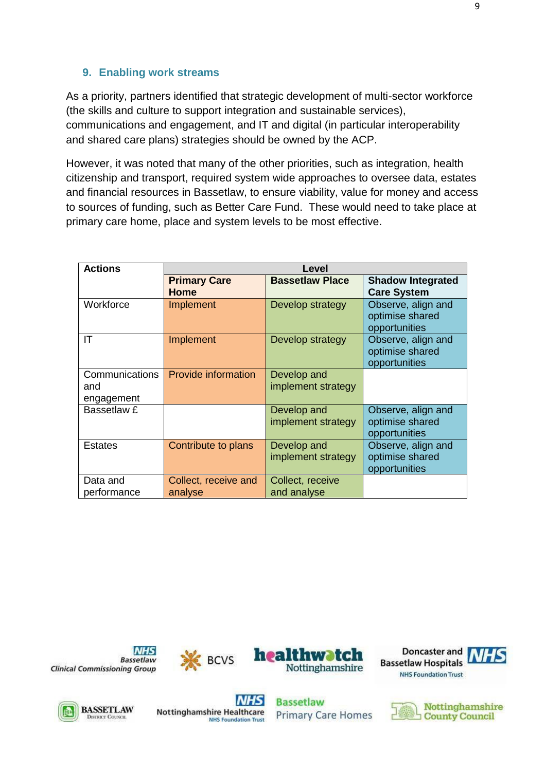## **9. Enabling work streams**

As a priority, partners identified that strategic development of multi-sector workforce (the skills and culture to support integration and sustainable services), communications and engagement, and IT and digital (in particular interoperability and shared care plans) strategies should be owned by the ACP.

However, it was noted that many of the other priorities, such as integration, health citizenship and transport, required system wide approaches to oversee data, estates and financial resources in Bassetlaw, to ensure viability, value for money and access to sources of funding, such as Better Care Fund. These would need to take place at primary care home, place and system levels to be most effective.

| <b>Actions</b>                      | Level                              |                                   |                                                        |  |  |
|-------------------------------------|------------------------------------|-----------------------------------|--------------------------------------------------------|--|--|
|                                     | <b>Primary Care</b><br><b>Home</b> | <b>Bassetlaw Place</b>            | <b>Shadow Integrated</b><br><b>Care System</b>         |  |  |
| Workforce                           | Implement                          | Develop strategy                  | Observe, align and<br>optimise shared<br>opportunities |  |  |
| ΙT                                  | Implement                          | Develop strategy                  | Observe, align and<br>optimise shared<br>opportunities |  |  |
| Communications<br>and<br>engagement | <b>Provide information</b>         | Develop and<br>implement strategy |                                                        |  |  |
| Bassetlaw £                         |                                    | Develop and<br>implement strategy | Observe, align and<br>optimise shared<br>opportunities |  |  |
| Estates                             | Contribute to plans                | Develop and<br>implement strategy | Observe, align and<br>optimise shared<br>opportunities |  |  |
| Data and<br>performance             | Collect, receive and<br>analyse    | Collect, receive<br>and analyse   |                                                        |  |  |













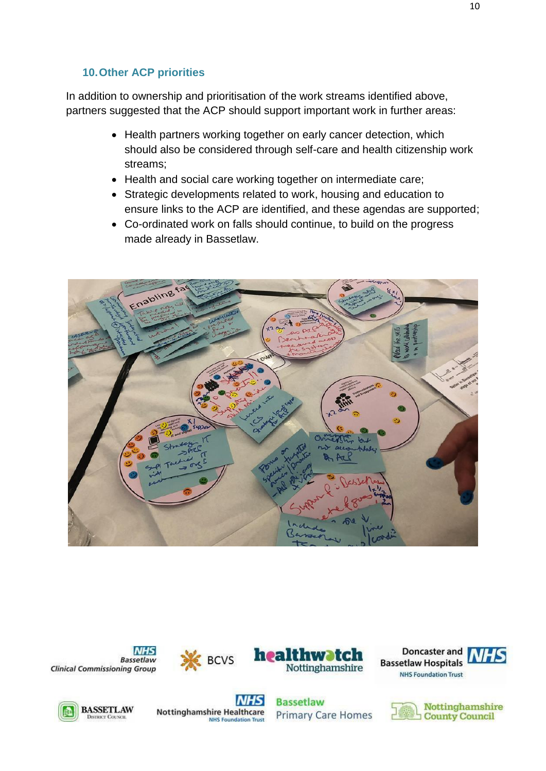# **10.Other ACP priorities**

In addition to ownership and prioritisation of the work streams identified above, partners suggested that the ACP should support important work in further areas:

- Health partners working together on early cancer detection, which should also be considered through self-care and health citizenship work streams;
- Health and social care working together on intermediate care;
- Strategic developments related to work, housing and education to ensure links to the ACP are identified, and these agendas are supported;
- Co-ordinated work on falls should continue, to build on the progress made already in Bassetlaw.